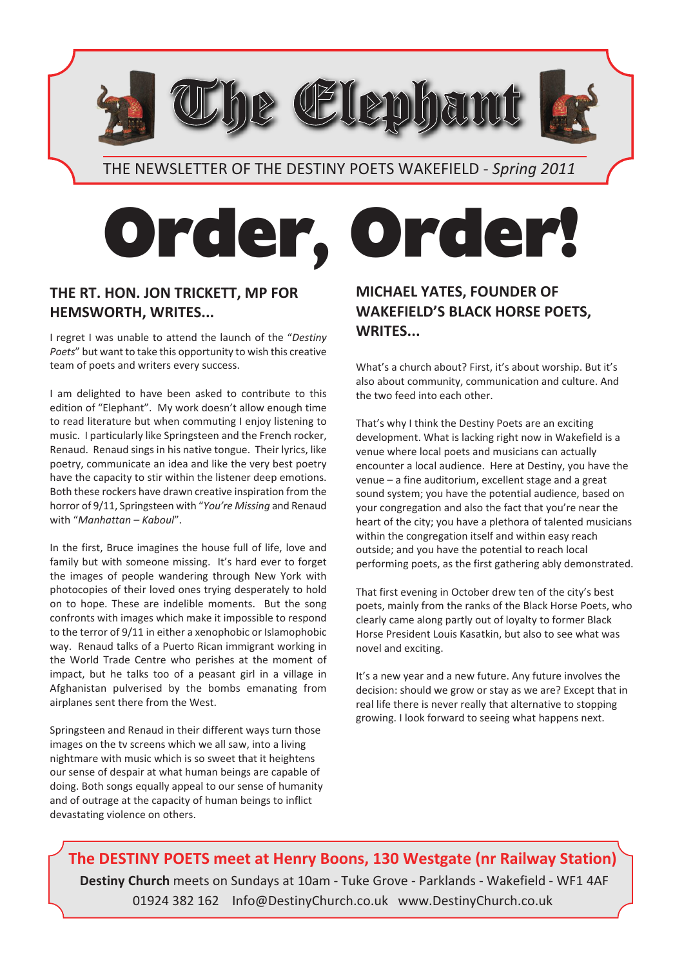THE NEWSLETTER OF THE DESTINY POETS WAKEFIELD - *Spring 2011*

re CElleminamu

# **Order, Order!**

#### **THE RT. HON. JON TRICKETT, MP FOR HEMSWORTH, WRITES...**

I regret I was unable to attend the launch of the "*Destiny Poets*" but want to take this opportunity to wish this creative team of poets and writers every success.

I am delighted to have been asked to contribute to this edition of "Elephant". My work doesn't allow enough time to read literature but when commuting I enjoy listening to music. I particularly like Springsteen and the French rocker, Renaud. Renaud sings in his native tongue. Their lyrics, like poetry, communicate an idea and like the very best poetry have the capacity to stir within the listener deep emotions. Both these rockers have drawn creative inspiration from the horror of 9/11, Springsteen with "*You're Missing* and Renaud with "*Manhattan – Kaboul*".

In the first, Bruce imagines the house full of life, love and family but with someone missing. It's hard ever to forget the images of people wandering through New York with photocopies of their loved ones trying desperately to hold on to hope. These are indelible moments. But the song confronts with images which make it impossible to respond to the terror of 9/11 in either a xenophobic or Islamophobic way. Renaud talks of a Puerto Rican immigrant working in the World Trade Centre who perishes at the moment of impact, but he talks too of a peasant girl in a village in Afghanistan pulverised by the bombs emanating from airplanes sent there from the West.

Springsteen and Renaud in their different ways turn those images on the tv screens which we all saw, into a living nightmare with music which is so sweet that it heightens our sense of despair at what human beings are capable of doing. Both songs equally appeal to our sense of humanity and of outrage at the capacity of human beings to inflict devastating violence on others.

#### **MICHAEL YATES, FOUNDER OF WAKEFIELD'S BLACK HORSE POETS, WRITES...**

What's a church about? First, it's about worship. But it's also about community, communication and culture. And the two feed into each other.

That's why I think the Destiny Poets are an exciting development. What is lacking right now in Wakefield is a venue where local poets and musicians can actually encounter a local audience. Here at Destiny, you have the venue – a fine auditorium, excellent stage and a great sound system; you have the potential audience, based on your congregation and also the fact that you're near the heart of the city; you have a plethora of talented musicians within the congregation itself and within easy reach outside; and you have the potential to reach local performing poets, as the first gathering ably demonstrated.

That first evening in October drew ten of the city's best poets, mainly from the ranks of the Black Horse Poets, who clearly came along partly out of loyalty to former Black Horse President Louis Kasatkin, but also to see what was novel and exciting.

It's a new year and a new future. Any future involves the decision: should we grow or stay as we are? Except that in real life there is never really that alternative to stopping growing. I look forward to seeing what happens next.

**The DESTINY POETS meet at Henry Boons, 130 Westgate (nr Railway Station) Destiny Church** meets on Sundays at 10am - Tuke Grove - Parklands - Wakefield - WF1 4AF 01924 382 162 Info@DestinyChurch.co.uk www.DestinyChurch.co.uk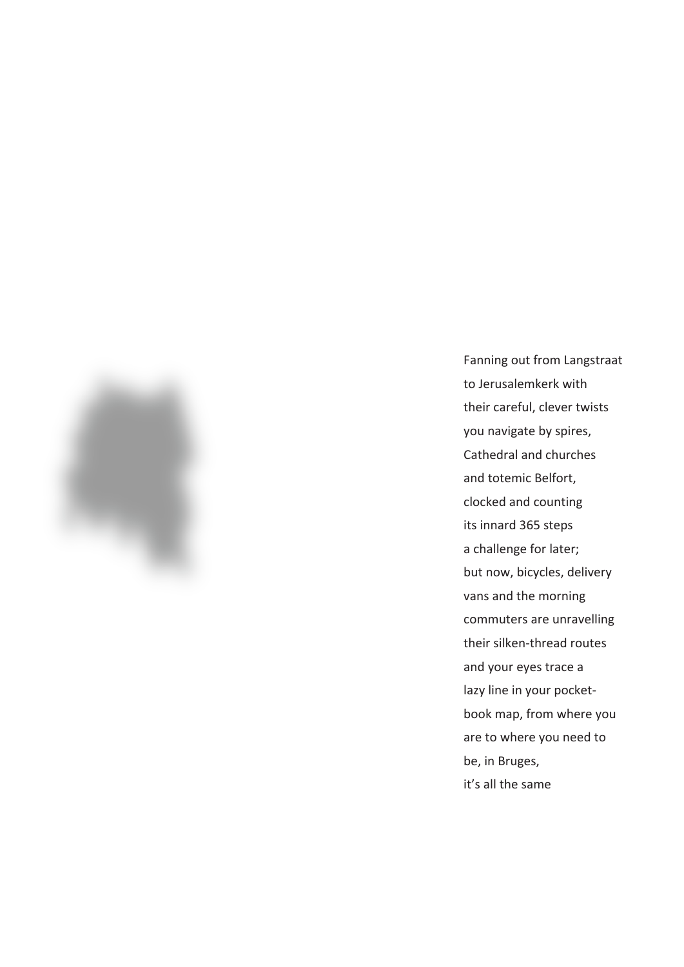

Fanning out from Langstraat to Jerusalemkerk with their careful, clever twists you navigate by spires, Cathedral and churches and totemic Belfort, clocked and counting its innard 365 steps a challenge for later; but now, bicycles, delivery vans and the morning commuters are unravelling their silken-thread routes and your eyes trace a lazy line in your pocketbook map, from where you are to where you need to be, in Bruges, it's all the same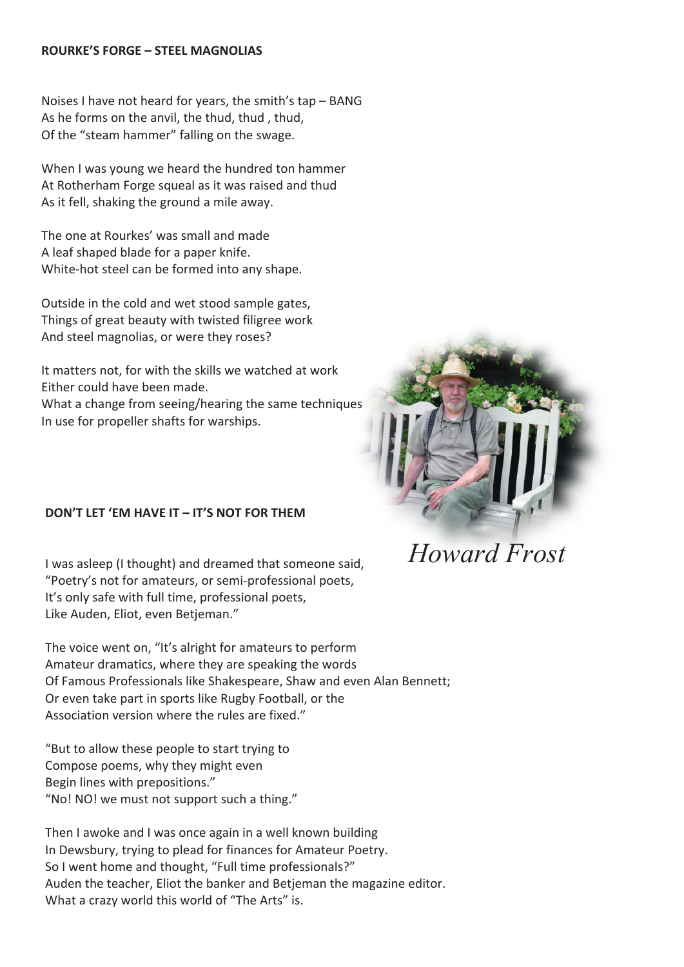#### **ROURKE'S FORGE – STEEL MAGNOLIAS**

Noises I have not heard for years, the smith's tap – BANG As he forms on the anvil, the thud, thud , thud, Of the "steam hammer" falling on the swage.

When I was young we heard the hundred ton hammer At Rotherham Forge squeal as it was raised and thud As it fell, shaking the ground a mile away.

The one at Rourkes' was small and made A leaf shaped blade for a paper knife. White-hot steel can be formed into any shape.

Outside in the cold and wet stood sample gates, Things of great beauty with twisted filigree work And steel magnolias, or were they roses?

It matters not, for with the skills we watched at work Either could have been made.

What a change from seeing/hearing the same techniques In use for propeller shafts for warships.

#### **DON'T LET 'EM HAVE IT – IT'S NOT FOR THEM**

I was asleep (I thought) and dreamed that someone said, "Poetry's not for amateurs, or semi-professional poets, It's only safe with full time, professional poets, Like Auden, Eliot, even Betjeman."

The voice went on, "It's alright for amateurs to perform Amateur dramatics, where they are speaking the words Of Famous Professionals like Shakespeare, Shaw and even Alan Bennett; Or even take part in sports like Rugby Football, or the Association version where the rules are fixed."

"But to allow these people to start trying to Compose poems, why they might even Begin lines with prepositions." "No! NO! we must not support such a thing."

Then I awoke and I was once again in a well known building In Dewsbury, trying to plead for finances for Amateur Poetry. So I went home and thought, "Full time professionals?" Auden the teacher, Eliot the banker and Betjeman the magazine editor. What a crazy world this world of "The Arts" is.



*Howard Frost*